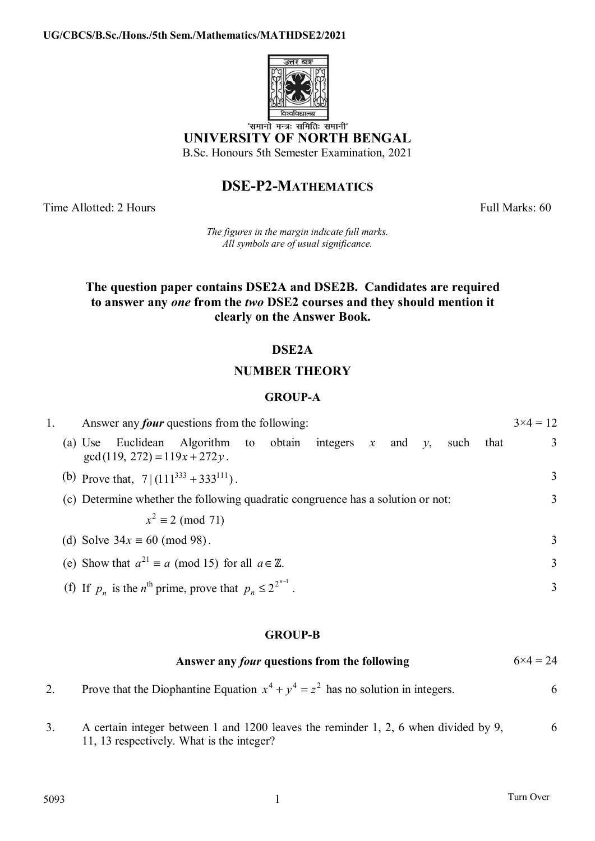

**UNIVERSITY OF NORTH BENGAL** 

B.Sc. Honours 5th Semester Examination, 2021

# **DSE-P2-MATHEMATICS**

Time Allotted: 2 Hours Full Marks: 60

*The figures in the margin indicate full marks. All symbols are of usual significance.*

# **The question paper contains DSE2A and DSE2B. Candidates are required to answer any** *one* **from the** *two* **DSE2 courses and they should mention it clearly on the Answer Book.**

# **DSE2A**

# **NUMBER THEORY**

# **GROUP-A**

| 1. | Answer any <i>four</i> questions from the following: |  |                                       |                                                                               |  |                                                                                 |  |  |  |  |      |      | $3 \times 4 = 12$ |
|----|------------------------------------------------------|--|---------------------------------------|-------------------------------------------------------------------------------|--|---------------------------------------------------------------------------------|--|--|--|--|------|------|-------------------|
|    |                                                      |  | $gcd(119, 272) = 119x + 272y$ .       | (a) Use Euclidean Algorithm to obtain integers x and y,                       |  |                                                                                 |  |  |  |  | such | that | 3                 |
|    |                                                      |  |                                       | (b) Prove that, $7 (111^{333}+333^{111})$ .                                   |  |                                                                                 |  |  |  |  |      |      | 3                 |
|    |                                                      |  |                                       |                                                                               |  | (c) Determine whether the following quadratic congruence has a solution or not: |  |  |  |  | 3    |      |                   |
|    |                                                      |  |                                       | $x^2 \equiv 2 \pmod{71}$                                                      |  |                                                                                 |  |  |  |  |      |      |                   |
|    |                                                      |  | (d) Solve $34x \equiv 60 \pmod{98}$ . |                                                                               |  |                                                                                 |  |  |  |  |      |      | 3                 |
|    |                                                      |  |                                       | (e) Show that $a^{21} \equiv a \pmod{15}$ for all $a \in \mathbb{Z}$ .        |  |                                                                                 |  |  |  |  |      |      | 3                 |
|    |                                                      |  |                                       | (f) If $p_n$ is the n <sup>th</sup> prime, prove that $p_n \le 2^{2^{n-1}}$ . |  |                                                                                 |  |  |  |  |      |      | 3                 |

## **GROUP-B**

| Answer any <i>four</i> questions from the following                                | $6 \times 4 = 24$ |
|------------------------------------------------------------------------------------|-------------------|
| Prove that the Diophantine Equation $x^4 + y^4 = z^2$ has no solution in integers. |                   |

3. A certain integer between 1 and 1200 leaves the reminder 1, 2, 6 when divided by 9, 11, 13 respectively. What is the integer? 6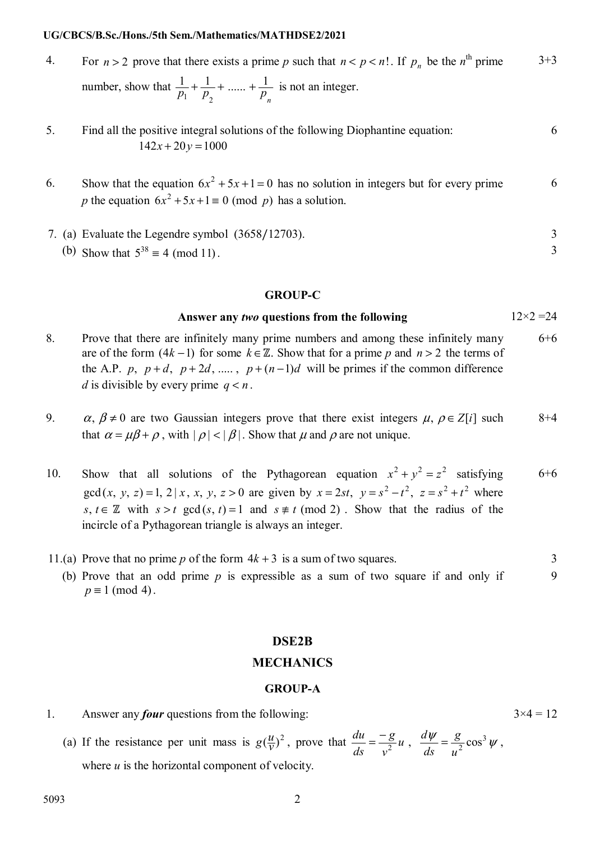#### **UG/CBCS/B.Sc./Hons./5th Sem./Mathematics/MATHDSE2/2021**

4. For  $n > 2$  prove that there exists a prime p such that  $n < p < n!$ . If  $p_n$  be the  $n^{\text{th}}$  prime number, show that  $\frac{1}{p_1} + \frac{1}{p_2} + \dots + \frac{1}{p_n}$  $\frac{1}{n} + \frac{1}{n} + \dots + \frac{1}{n}$  $v_1$   $v_2$  $+\frac{1}{n}+\dots+\frac{1}{n}$  is not an integer. 3+3

# 5. Find all the positive integral solutions of the following Diophantine equation:  $142x + 20y = 1000$

- 6. Show that the equation  $6x^2 + 5x + 1 = 0$  has no solution in integers but for every prime p the equation  $6x^2 + 5x + 1 \equiv 0 \pmod{p}$  has a solution. 6
- 7. (a) Evaluate the Legendre symbol (3658/12703). 3
	- (b) Show that  $5^{38} \equiv 4 \pmod{11}$ .

#### **GROUP-C**

### **Answer any** *two* **questions from the following** 12×2 =24

- 8. Prove that there are infinitely many prime numbers and among these infinitely many are of the form  $(4k-1)$  for some  $k \in \mathbb{Z}$ . Show that for a prime p and  $n > 2$  the terms of the A.P. *p*,  $p+d$ ,  $p+2d$ , ...,  $p+(n-1)d$  will be primes if the common difference *d* is divisible by every prime  $q < n$ . 6+6
- 9.  $\alpha, \beta \neq 0$  are two Gaussian integers prove that there exist integers  $\mu, \rho \in Z[i]$  such that  $\alpha = \mu \beta + \rho$ , with  $|\rho| < |\beta|$ . Show that  $\mu$  and  $\rho$  are not unique. 8+4
- 10. Show that all solutions of the Pythagorean equation  $x^2 + y^2 = z^2$  satisfying gcd(*x*, *y*, *z*) = 1, 2 | *x*, *x*, *y*, *z* > 0 are given by  $x = 2st$ ,  $y = s^2 - t^2$ ,  $z = s^2 + t^2$  where  $s, t \in \mathbb{Z}$  with  $s > t$  gcd  $(s, t) = 1$  and  $s \neq t$  (mod 2). Show that the radius of the incircle of a Pythagorean triangle is always an integer. 6+6
- 11.(a) Prove that no prime *p* of the form  $4k + 3$  is a sum of two squares. 3 (b) Prove that an odd prime  $p$  is expressible as a sum of two square if and only if  $\overline{Q}$ 
	- $p \equiv 1 \pmod{4}$ .

### **DSE2B**

#### **MECHANICS**

#### **GROUP-A**

- 1. Answer any *four* questions from the following:  $3 \times 4 = 12$ 
	- (a) If the resistance per unit mass is  $g(\frac{u}{v})^2$ , prove that  $\frac{du}{ds} = \frac{-g}{v^2}u$ ,  $\frac{d\psi}{ds} = \frac{g}{u^2} \cos^3 \psi$ *g ds*  $u$ <sup>*d*</sup> *v g ds*  $\frac{du}{dt} = \frac{-g}{2}u$ ,  $\frac{d\psi}{d\psi} = \frac{g}{2}\cos^3\psi$ , where  $u$  is the horizontal component of velocity.

6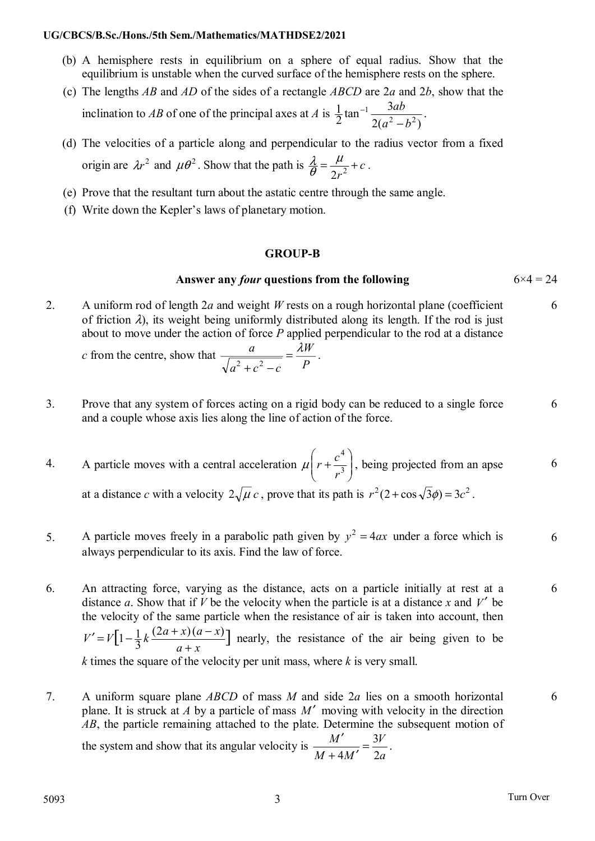## **UG/CBCS/B.Sc./Hons./5th Sem./Mathematics/MATHDSE2/2021**

- (b) A hemisphere rests in equilibrium on a sphere of equal radius. Show that the equilibrium is unstable when the curved surface of the hemisphere rests on the sphere.
- (c) The lengths *AB* and *AD* of the sides of a rectangle *ABCD* are 2*a* and 2*b*, show that the inclination to *AB* of one of the principal axes at *A* is  $2(a^2-b^2)$  $\frac{1}{2}$ tan<sup>-1</sup> $\frac{3}{2(a^2)}$ 2  $\mu^2$ 1  $a^2 - b$ *ab*  $\overline{a}$  $-1\frac{3uv}{2}$ .
- (d) The velocities of a particle along and perpendicular to the radius vector from a fixed origin are  $\lambda r^2$  and  $\mu \theta^2$ . Show that the path is  $\frac{\lambda}{\theta} = \frac{\mu}{2r^2} + c$  $\frac{\lambda}{\theta} = \frac{\mu}{2r^2} + c$ .
- (e) Prove that the resultant turn about the astatic centre through the same angle.
- (f) Write down the Kepler's laws of planetary motion.

## **GROUP-B**

# **Answer any** *four* **questions from the following** 6×4 = 24

2. A uniform rod of length 2*a* and weight *W* rests on a rough horizontal plane (coefficient of friction  $\lambda$ ), its weight being uniformly distributed along its length. If the rod is just about to move under the action of force *P* applied perpendicular to the rod at a distance 6

*c* from the centre, show that  $\frac{a}{\sqrt{a^2+c^2-c}} = \frac{\lambda W}{P}$  $a^2 + c^2 - c$  $rac{a}{\sqrt{2^2+c^2-c}} = \frac{\lambda W}{P}$ .

- 3. Prove that any system of forces acting on a rigid body can be reduced to a single force and a couple whose axis lies along the line of action of the force.
- 4. A particle moves with a central acceleration  $\mu \left| r + \frac{c}{r^3} \right|$ ⎠  $\setminus$  $\overline{\phantom{a}}$ ⎝  $\big($  $+\frac{c}{a^{3}}$ 4 *r*  $\mu\left(r+\frac{c^4}{2}\right)$ , being projected from an apse at a distance *c* with a velocity  $2\sqrt{\mu} c$ , prove that its path is  $r^2(2 + \cos{\sqrt{3}\phi}) = 3c^2$ . 6
- 5. A particle moves freely in a parabolic path given by  $y^2 = 4ax$  under a force which is always perpendicular to its axis. Find the law of force. 6
- 6. An attracting force, varying as the distance, acts on a particle initially at rest at a distance *a*. Show that if *V* be the velocity when the particle is at a distance *x* and *V'* be the velocity of the same particle when the resistance of air is taken into account, then  $\left[1-\frac{1}{3}k\frac{(2a+x)(a-x)}{a+x}\right]$  $a + x$  $V' = V \left[ 1 - \frac{1}{2} k \frac{(2a+x)(a-x)}{a-x} \right]$  $\ddot{}$  $n' = V[1-\frac{1}{2}k\frac{(2a+x)(a-x)}{2}]$  nearly, the resistance of the air being given to be *k* times the square of the velocity per unit mass, where *k* is very small.
- 7. A uniform square plane *ABCD* of mass *M* and side 2*a* lies on a smooth horizontal plane. It is struck at *A* by a particle of mass  $M'$  moving with velocity in the direction *AB*, the particle remaining attached to the plate. Determine the subsequent motion of

the system and show that its angular velocity is *a V*  $M + 4M$ *M* 2  $\frac{M'}{M} = \frac{3}{2}$  $\frac{V}{1.16} = \frac{3V}{2}$ . 6

6

6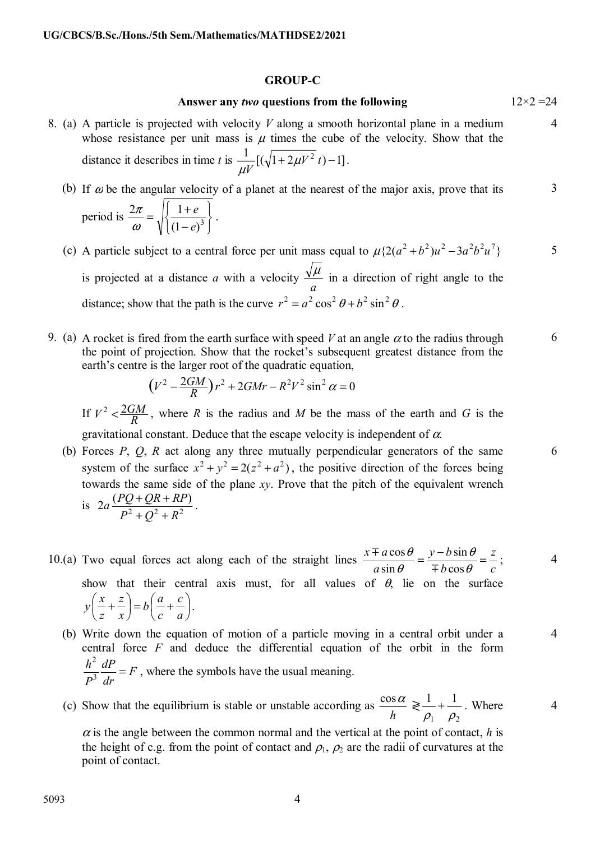### **GROUP-C**

## **Answer any** *two* **questions from the following** 12×2 =24

4

5

6

6

4

4

- 8. (a) A particle is projected with velocity *V* along a smooth horizontal plane in a medium whose resistance per unit mass is  $\mu$  times the cube of the velocity. Show that the distance it describes in time *t* is  $\frac{1}{\mu V} [(\sqrt{1 + 2\mu V^2} t) - 1]$ .
	- (b) If  $\alpha$  be the angular velocity of a planet at the nearest of the major axis, prove that its period is ⎭  $\left\{ \right\}$  $\vert$  $\overline{\mathcal{L}}$ ⎨  $\sqrt{2}$  $\frac{2\pi}{\omega} = \sqrt{\frac{1+e}{(1-e)^3}}$ *e e*  $\frac{2\pi}{\omega} = \sqrt{\frac{1+e}{(1-e)^3}}$ . 3
	- (c) A particle subject to a central force per unit mass equal to  $\mu \{2(a^2 + b^2)u^2 3a^2b^2u^7\}$ is projected at a distance *a* with a velocity *a*  $\frac{\mu}{\sigma}$  in a direction of right angle to the distance; show that the path is the curve  $r^2 = a^2 \cos^2 \theta + b^2 \sin^2 \theta$ .
- 9. (a) A rocket is fired from the earth surface with speed V at an angle  $\alpha$  to the radius through the point of projection. Show that the rocket's subsequent greatest distance from the earth's centre is the larger root of the quadratic equation,

$$
(V^2 - \frac{2GM}{R})r^2 + 2GMr - R^2V^2\sin^2\alpha = 0
$$

If  $V^2 < \frac{2GM}{R}$ , where *R* is the radius and *M* be the mass of the earth and *G* is the gravitational constant. Deduce that the escape velocity is independent of  $\alpha$ .

- (b) Forces *P*, *Q*, *R* act along any three mutually perpendicular generators of the same system of the surface  $x^2 + y^2 = 2(z^2 + a^2)$ , the positive direction of the forces being towards the same side of the plane *xy*. Prove that the pitch of the equivalent wrench is  $2a \frac{(PQ + QR + RP)}{P^2 + Q^2 + P^2}$  $P^2 + Q^2 + R$  $a \frac{(PQ + QR + RP)}{PQ}$  $+Q^2 +$  $\frac{+QR+RP}{2}$ .
- 10.(a) Two equal forces act along each of the straight lines *c z b*  $y - b$  $rac{x \mp a \cos \theta}{a \sin \theta} = \frac{y - b \sin \theta}{\mp b \cos \theta} =$  $\theta$  $\theta$ cos sin sin cos  $\overline{+}$  $\frac{\pm a \cos \theta}{\sin \theta} = \frac{y - b \sin \theta}{\sin \theta} = \frac{z}{\sin \theta}$ ; show that their central axis must, for all values of  $\theta$ , lie on the surface  $\sqrt{2}$ ⎠  $\left(\frac{a}{-+}\right)$  $\left(\frac{x}{z} + \frac{z}{x}\right) = b\left(\frac{a}{c} + \frac{z}{c}\right)$ ⎝  $\left(\frac{x}{-}\right)$ *a c c*  $b\left(\frac{a}{a}\right)$ *x z z*  $y\left(\frac{x}{-} + \frac{z}{-}\right) = b\left(\frac{a}{-} + \frac{c}{-}\right).$ 
	- (b) Write down the equation of motion of a particle moving in a central orbit under a central force *F* and deduce the differential equation of the orbit in the form *F dr dP*  $\frac{h^2}{P^3} \frac{dP}{dr} =$ , where the symbols have the usual meaning.
	- (c) Show that the equilibrium is stable or unstable according as  $\frac{\cos \alpha}{h} \geq$  $v_1$   $v_2$  $1 \t1$  $\rho_{\text{\tiny{l}}}$   $\rho$  $+$   $\frac{1}{\sqrt{2}}$ . Where 4

 $\alpha$  is the angle between the common normal and the vertical at the point of contact, *h* is the height of c.g. from the point of contact and  $\rho_1$ ,  $\rho_2$  are the radii of curvatures at the point of contact.